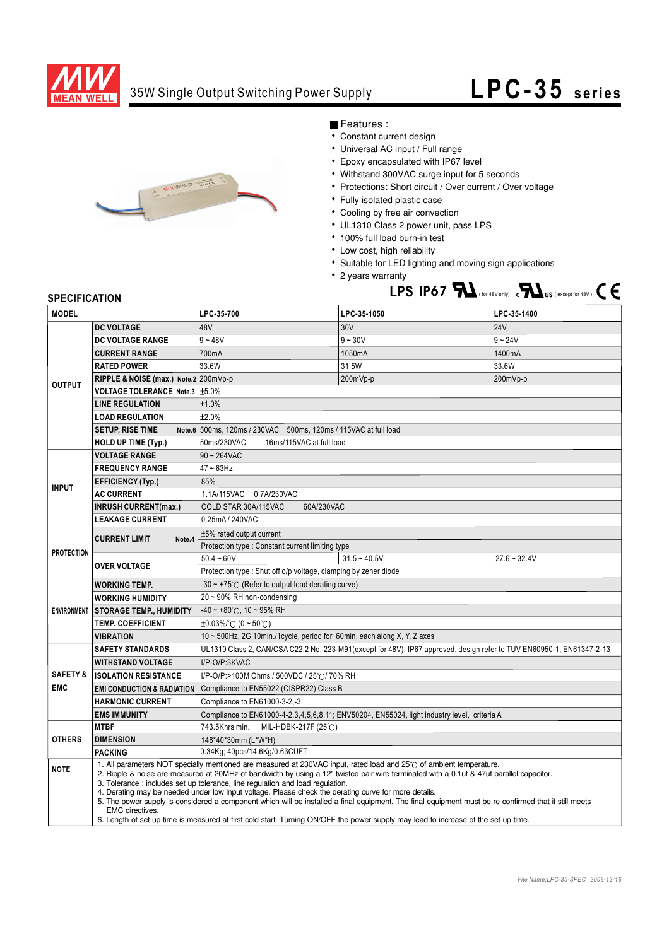

## 35W Single Output Switching Power Supply

## **LPC-35** series



Features :

- Constant current design
- Universal AC input / Full range
- Epoxy encapsulated with IP67 level
- Withstand 300VAC surge input for 5 seconds
- Protections: Short circuit / Over current / Over voltage
- Fully isolated plastic case
- Cooling by free air convection
- UL1310 Class 2 power unit, pass LPS
- 100% full load burn-in test
- Low cost, high reliability
- Suitable for LED lighting and moving sign applications
- 2 years warranty **LPS IP67**  $\sum$  (for 48V only)  $\sum$  **IX US** (except for 48V)  $\sum$

## **SPECIFICATION**

| <b>MODEL</b>        |                                                                                                                                                                                                                                                                                                                                                                                                                                                                                                                                                                                                                                                                                                                                                                                   | LPC-35-700                                                                                                            | LPC-35-1050    | LPC-35-1400    |
|---------------------|-----------------------------------------------------------------------------------------------------------------------------------------------------------------------------------------------------------------------------------------------------------------------------------------------------------------------------------------------------------------------------------------------------------------------------------------------------------------------------------------------------------------------------------------------------------------------------------------------------------------------------------------------------------------------------------------------------------------------------------------------------------------------------------|-----------------------------------------------------------------------------------------------------------------------|----------------|----------------|
| <b>OUTPUT</b>       | <b>DC VOLTAGE</b>                                                                                                                                                                                                                                                                                                                                                                                                                                                                                                                                                                                                                                                                                                                                                                 | 48V                                                                                                                   | 30V            | <b>24V</b>     |
|                     | <b>DC VOLTAGE RANGE</b>                                                                                                                                                                                                                                                                                                                                                                                                                                                                                                                                                                                                                                                                                                                                                           | $9 - 48V$                                                                                                             | $9 - 30V$      | $9 - 24V$      |
|                     | <b>CURRENT RANGE</b>                                                                                                                                                                                                                                                                                                                                                                                                                                                                                                                                                                                                                                                                                                                                                              | 700mA                                                                                                                 | 1050mA         | 1400mA         |
|                     | <b>RATED POWER</b>                                                                                                                                                                                                                                                                                                                                                                                                                                                                                                                                                                                                                                                                                                                                                                | 33.6W                                                                                                                 | 31.5W          | 33.6W          |
|                     | RIPPLE & NOISE (max.) Note.2 200mVp-p                                                                                                                                                                                                                                                                                                                                                                                                                                                                                                                                                                                                                                                                                                                                             |                                                                                                                       | 200mVp-p       | 200mVp-p       |
|                     | VOLTAGE TOLERANCE Note.3 ±5.0%                                                                                                                                                                                                                                                                                                                                                                                                                                                                                                                                                                                                                                                                                                                                                    |                                                                                                                       |                |                |
|                     | <b>LINE REGULATION</b>                                                                                                                                                                                                                                                                                                                                                                                                                                                                                                                                                                                                                                                                                                                                                            | ±1.0%                                                                                                                 |                |                |
|                     | <b>LOAD REGULATION</b>                                                                                                                                                                                                                                                                                                                                                                                                                                                                                                                                                                                                                                                                                                                                                            | ±2.0%                                                                                                                 |                |                |
|                     | <b>SETUP, RISE TIME</b>                                                                                                                                                                                                                                                                                                                                                                                                                                                                                                                                                                                                                                                                                                                                                           | Note.6 500ms, 120ms / 230VAC 500ms, 120ms / 115VAC at full load                                                       |                |                |
|                     | <b>HOLD UP TIME (Typ.)</b>                                                                                                                                                                                                                                                                                                                                                                                                                                                                                                                                                                                                                                                                                                                                                        | 50ms/230VAC<br>16ms/115VAC at full load                                                                               |                |                |
| <b>INPUT</b>        | <b>VOLTAGE RANGE</b>                                                                                                                                                                                                                                                                                                                                                                                                                                                                                                                                                                                                                                                                                                                                                              | $90 \sim 264$ VAC                                                                                                     |                |                |
|                     | <b>FREQUENCY RANGE</b>                                                                                                                                                                                                                                                                                                                                                                                                                                                                                                                                                                                                                                                                                                                                                            | 47~63Hz                                                                                                               |                |                |
|                     | <b>EFFICIENCY (Typ.)</b>                                                                                                                                                                                                                                                                                                                                                                                                                                                                                                                                                                                                                                                                                                                                                          | 85%                                                                                                                   |                |                |
|                     | <b>AC CURRENT</b>                                                                                                                                                                                                                                                                                                                                                                                                                                                                                                                                                                                                                                                                                                                                                                 | 1.1A/115VAC 0.7A/230VAC                                                                                               |                |                |
|                     | <b>INRUSH CURRENT(max.)</b>                                                                                                                                                                                                                                                                                                                                                                                                                                                                                                                                                                                                                                                                                                                                                       | COLD STAR 30A/115VAC<br>60A/230VAC                                                                                    |                |                |
|                     | <b>LEAKAGE CURRENT</b>                                                                                                                                                                                                                                                                                                                                                                                                                                                                                                                                                                                                                                                                                                                                                            | 0.25mA / 240VAC                                                                                                       |                |                |
| <b>PROTECTION</b>   | <b>CURRENT LIMIT</b><br>Note.4                                                                                                                                                                                                                                                                                                                                                                                                                                                                                                                                                                                                                                                                                                                                                    | $±5\%$ rated output current                                                                                           |                |                |
|                     |                                                                                                                                                                                                                                                                                                                                                                                                                                                                                                                                                                                                                                                                                                                                                                                   | Protection type: Constant current limiting type                                                                       |                |                |
|                     | <b>OVER VOLTAGE</b>                                                                                                                                                                                                                                                                                                                                                                                                                                                                                                                                                                                                                                                                                                                                                               | $50.4 - 60V$                                                                                                          | $31.5 - 40.5V$ | $27.6 - 32.4V$ |
|                     |                                                                                                                                                                                                                                                                                                                                                                                                                                                                                                                                                                                                                                                                                                                                                                                   | Protection type : Shut off o/p voltage, clamping by zener diode                                                       |                |                |
| <b>ENVIRONMENT</b>  | <b>WORKING TEMP.</b>                                                                                                                                                                                                                                                                                                                                                                                                                                                                                                                                                                                                                                                                                                                                                              | $-30 \sim +75^{\circ}$ (Refer to output load derating curve)                                                          |                |                |
|                     | <b>WORKING HUMIDITY</b>                                                                                                                                                                                                                                                                                                                                                                                                                                                                                                                                                                                                                                                                                                                                                           | 20~90% RH non-condensing                                                                                              |                |                |
|                     | <b>STORAGE TEMP., HUMIDITY</b>                                                                                                                                                                                                                                                                                                                                                                                                                                                                                                                                                                                                                                                                                                                                                    | $-40 \sim +80^{\circ}$ C, 10 ~ 95% RH                                                                                 |                |                |
|                     | <b>TEMP. COEFFICIENT</b>                                                                                                                                                                                                                                                                                                                                                                                                                                                                                                                                                                                                                                                                                                                                                          | $\pm 0.03\%$ (°C (0 ~ 50°C)                                                                                           |                |                |
|                     | <b>VIBRATION</b>                                                                                                                                                                                                                                                                                                                                                                                                                                                                                                                                                                                                                                                                                                                                                                  | 10 ~ 500Hz, 2G 10min./1cycle, period for 60min. each along X, Y, Z axes                                               |                |                |
|                     | <b>SAFETY STANDARDS</b>                                                                                                                                                                                                                                                                                                                                                                                                                                                                                                                                                                                                                                                                                                                                                           | UL1310 Class 2, CAN/CSA C22.2 No. 223-M91(except for 48V), IP67 approved, design refer to TUV EN60950-1, EN61347-2-13 |                |                |
|                     | <b>WITHSTAND VOLTAGE</b>                                                                                                                                                                                                                                                                                                                                                                                                                                                                                                                                                                                                                                                                                                                                                          | I/P-O/P:3KVAC                                                                                                         |                |                |
| <b>SAFETY &amp;</b> | <b>ISOLATION RESISTANCE</b>                                                                                                                                                                                                                                                                                                                                                                                                                                                                                                                                                                                                                                                                                                                                                       | I/P-O/P:>100M Ohms / 500VDC / 25°C / 70% RH                                                                           |                |                |
| <b>EMC</b>          | <b>EMI CONDUCTION &amp; RADIATION</b>                                                                                                                                                                                                                                                                                                                                                                                                                                                                                                                                                                                                                                                                                                                                             | Compliance to EN55022 (CISPR22) Class B                                                                               |                |                |
|                     | <b>HARMONIC CURRENT</b>                                                                                                                                                                                                                                                                                                                                                                                                                                                                                                                                                                                                                                                                                                                                                           | Compliance to EN61000-3-2,-3                                                                                          |                |                |
|                     | <b>EMS IMMUNITY</b>                                                                                                                                                                                                                                                                                                                                                                                                                                                                                                                                                                                                                                                                                                                                                               | Compliance to EN61000-4-2,3,4,5,6,8,11; ENV50204, EN55024, light industry level, criteria A                           |                |                |
| <b>OTHERS</b>       | <b>MTBF</b>                                                                                                                                                                                                                                                                                                                                                                                                                                                                                                                                                                                                                                                                                                                                                                       | 743.5Khrs min.<br>MIL-HDBK-217F (25℃)                                                                                 |                |                |
|                     | <b>DIMENSION</b>                                                                                                                                                                                                                                                                                                                                                                                                                                                                                                                                                                                                                                                                                                                                                                  | 148*40*30mm (L*W*H)                                                                                                   |                |                |
|                     | <b>PACKING</b>                                                                                                                                                                                                                                                                                                                                                                                                                                                                                                                                                                                                                                                                                                                                                                    | 0.34Kg; 40pcs/14.6Kg/0.63CUFT                                                                                         |                |                |
| <b>NOTE</b>         | 1. All parameters NOT specially mentioned are measured at 230VAC input, rated load and 25°C of ambient temperature.<br>2. Ripple & noise are measured at 20MHz of bandwidth by using a 12" twisted pair-wire terminated with a 0.1uf & 47uf parallel capacitor.<br>3. Tolerance: includes set up tolerance, line regulation and load regulation.<br>4. Derating may be needed under low input voltage. Please check the derating curve for more details.<br>5. The power supply is considered a component which will be installed a final equipment. The final equipment must be re-confirmed that it still meets<br><b>EMC</b> directives.<br>6. Length of set up time is measured at first cold start. Turning ON/OFF the power supply may lead to increase of the set up time. |                                                                                                                       |                |                |